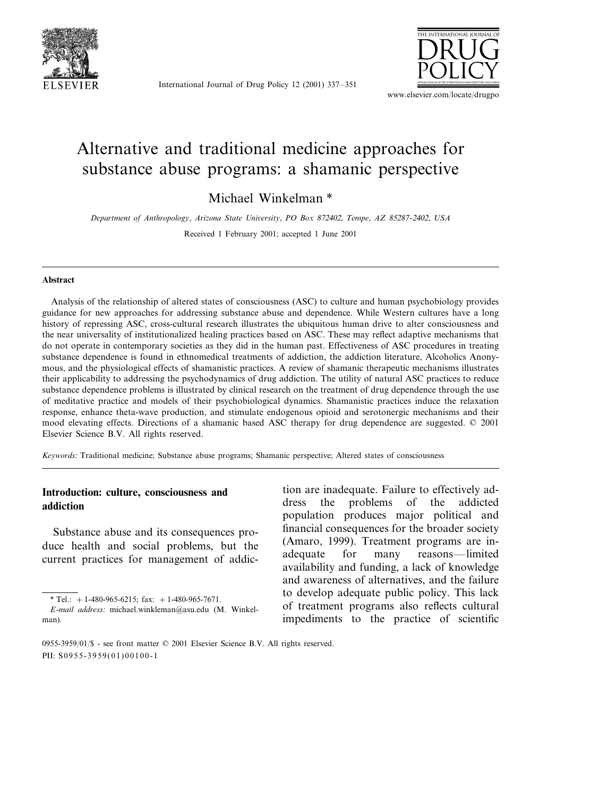

International Journal of Drug Policy 12 (2001) 337–351



www.elsevier.com/locate/drugpo

# Alternative and traditional medicine approaches for substance abuse programs: a shamanic perspective

Michael Winkelman \*

*Department of Anthropology*, *Arizona State Uniersity*, *PO Box* <sup>872402</sup>, *Tempe*, *AZ* <sup>85287</sup>-2402, *USA*

Received 1 February 2001; accepted 1 June 2001

#### **Abstract**

Analysis of the relationship of altered states of consciousness (ASC) to culture and human psychobiology provides guidance for new approaches for addressing substance abuse and dependence. While Western cultures have a long history of repressing ASC, cross-cultural research illustrates the ubiquitous human drive to alter consciousness and the near universality of institutionalized healing practices based on ASC. These may reflect adaptive mechanisms that do not operate in contemporary societies as they did in the human past. Effectiveness of ASC procedures in treating substance dependence is found in ethnomedical treatments of addiction, the addiction literature, Alcoholics Anonymous, and the physiological effects of shamanistic practices. A review of shamanic therapeutic mechanisms illustrates their applicability to addressing the psychodynamics of drug addiction. The utility of natural ASC practices to reduce substance dependence problems is illustrated by clinical research on the treatment of drug dependence through the use of meditative practice and models of their psychobiological dynamics. Shamanistic practices induce the relaxation response, enhance theta-wave production, and stimulate endogenous opioid and serotonergic mechanisms and their mood elevating effects. Directions of a shamanic based ASC therapy for drug dependence are suggested. © 2001 Elsevier Science B.V. All rights reserved.

*Keywords*: Traditional medicine; Substance abuse programs; Shamanic perspective; Altered states of consciousness

## **Introduction: culture, consciousness and addiction**

Substance abuse and its consequences produce health and social problems, but the current practices for management of addiction are inadequate. Failure to effectively address the problems of the addicted population produces major political and financial consequences for the broader society (Amaro, 1999). Treatment programs are inadequate for many reasons—limited availability and funding, a lack of knowledge and awareness of alternatives, and the failure to develop adequate public policy. This lack of treatment programs also reflects cultural impediments to the practice of scientific

 $*$  Tel.: +1-480-965-6215; fax: +1-480-965-7671.

*E*-*mail address*: michael.winkleman@asu.edu (M. Winkelman).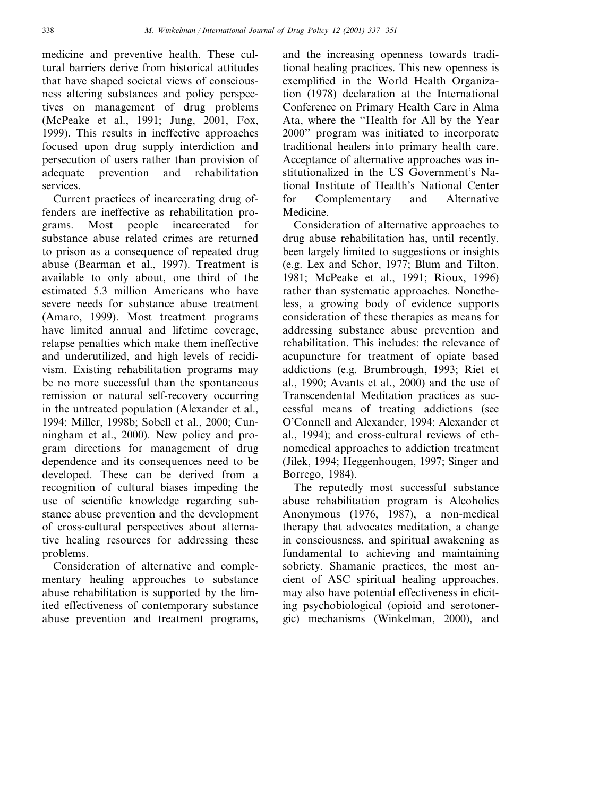medicine and preventive health. These cultural barriers derive from historical attitudes that have shaped societal views of consciousness altering substances and policy perspectives on management of drug problems (McPeake et al., 1991; Jung, 2001, Fox, 1999). This results in ineffective approaches focused upon drug supply interdiction and persecution of users rather than provision of adequate prevention and rehabilitation services.

Current practices of incarcerating drug offenders are ineffective as rehabilitation programs. Most people incarcerated for substance abuse related crimes are returned to prison as a consequence of repeated drug abuse (Bearman et al., 1997). Treatment is available to only about, one third of the estimated 5.3 million Americans who have severe needs for substance abuse treatment (Amaro, 1999). Most treatment programs have limited annual and lifetime coverage, relapse penalties which make them ineffective and underutilized, and high levels of recidivism. Existing rehabilitation programs may be no more successful than the spontaneous remission or natural self-recovery occurring in the untreated population (Alexander et al., 1994; Miller, 1998b; Sobell et al., 2000; Cunningham et al., 2000). New policy and program directions for management of drug dependence and its consequences need to be developed. These can be derived from a recognition of cultural biases impeding the use of scientific knowledge regarding substance abuse prevention and the development of cross-cultural perspectives about alternative healing resources for addressing these problems.

Consideration of alternative and complementary healing approaches to substance abuse rehabilitation is supported by the limited effectiveness of contemporary substance abuse prevention and treatment programs,

and the increasing openness towards traditional healing practices. This new openness is exemplified in the World Health Organization (1978) declaration at the International Conference on Primary Health Care in Alma Ata, where the ''Health for All by the Year 2000'' program was initiated to incorporate traditional healers into primary health care. Acceptance of alternative approaches was institutionalized in the US Government's National Institute of Health's National Center for Complementary and Alternative Medicine.

Consideration of alternative approaches to drug abuse rehabilitation has, until recently, been largely limited to suggestions or insights (e.g. Lex and Schor, 1977; Blum and Tilton, 1981; McPeake et al., 1991; Rioux, 1996) rather than systematic approaches. Nonetheless, a growing body of evidence supports consideration of these therapies as means for addressing substance abuse prevention and rehabilitation. This includes: the relevance of acupuncture for treatment of opiate based addictions (e.g. Brumbrough, 1993; Riet et al., 1990; Avants et al., 2000) and the use of Transcendental Meditation practices as successful means of treating addictions (see O'Connell and Alexander, 1994; Alexander et al., 1994); and cross-cultural reviews of ethnomedical approaches to addiction treatment (Jilek, 1994; Heggenhougen, 1997; Singer and Borrego, 1984).

The reputedly most successful substance abuse rehabilitation program is Alcoholics Anonymous (1976, 1987), a non-medical therapy that advocates meditation, a change in consciousness, and spiritual awakening as fundamental to achieving and maintaining sobriety. Shamanic practices, the most ancient of ASC spiritual healing approaches, may also have potential effectiveness in eliciting psychobiological (opioid and serotonergic) mechanisms (Winkelman, 2000), and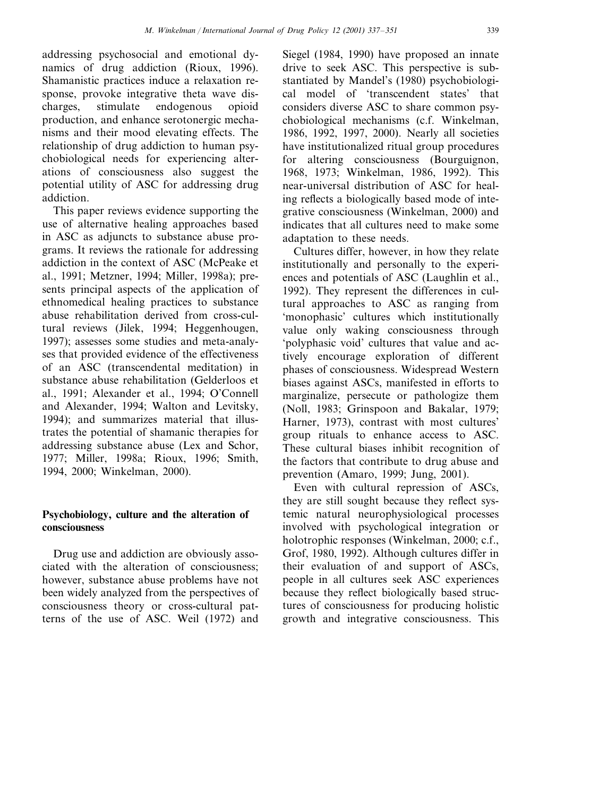addressing psychosocial and emotional dynamics of drug addiction (Rioux, 1996). Shamanistic practices induce a relaxation response, provoke integrative theta wave discharges, stimulate endogenous opioid production, and enhance serotonergic mechanisms and their mood elevating effects. The relationship of drug addiction to human psychobiological needs for experiencing alterations of consciousness also suggest the potential utility of ASC for addressing drug addiction.

This paper reviews evidence supporting the use of alternative healing approaches based in ASC as adjuncts to substance abuse programs. It reviews the rationale for addressing addiction in the context of ASC (McPeake et al., 1991; Metzner, 1994; Miller, 1998a); presents principal aspects of the application of ethnomedical healing practices to substance abuse rehabilitation derived from cross-cultural reviews (Jilek, 1994; Heggenhougen, 1997); assesses some studies and meta-analyses that provided evidence of the effectiveness of an ASC (transcendental meditation) in substance abuse rehabilitation (Gelderloos et al., 1991; Alexander et al., 1994; O'Connell and Alexander, 1994; Walton and Levitsky, 1994); and summarizes material that illustrates the potential of shamanic therapies for addressing substance abuse (Lex and Schor, 1977; Miller, 1998a; Rioux, 1996; Smith, 1994, 2000; Winkelman, 2000).

# **Psychobiology, culture and the alteration of consciousness**

Drug use and addiction are obviously associated with the alteration of consciousness; however, substance abuse problems have not been widely analyzed from the perspectives of consciousness theory or cross-cultural patterns of the use of ASC. Weil (1972) and

Siegel (1984, 1990) have proposed an innate drive to seek ASC. This perspective is substantiated by Mandel's (1980) psychobiological model of 'transcendent states' that considers diverse ASC to share common psychobiological mechanisms (c.f. Winkelman, 1986, 1992, 1997, 2000). Nearly all societies have institutionalized ritual group procedures for altering consciousness (Bourguignon, 1968, 1973; Winkelman, 1986, 1992). This near-universal distribution of ASC for healing reflects a biologically based mode of integrative consciousness (Winkelman, 2000) and indicates that all cultures need to make some adaptation to these needs.

Cultures differ, however, in how they relate institutionally and personally to the experiences and potentials of ASC (Laughlin et al., 1992). They represent the differences in cultural approaches to ASC as ranging from 'monophasic' cultures which institutionally value only waking consciousness through 'polyphasic void' cultures that value and actively encourage exploration of different phases of consciousness. Widespread Western biases against ASCs, manifested in efforts to marginalize, persecute or pathologize them (Noll, 1983; Grinspoon and Bakalar, 1979; Harner, 1973), contrast with most cultures' group rituals to enhance access to ASC. These cultural biases inhibit recognition of the factors that contribute to drug abuse and prevention (Amaro, 1999; Jung, 2001).

Even with cultural repression of ASCs, they are still sought because they reflect systemic natural neurophysiological processes involved with psychological integration or holotrophic responses (Winkelman, 2000; c.f., Grof, 1980, 1992). Although cultures differ in their evaluation of and support of ASCs, people in all cultures seek ASC experiences because they reflect biologically based structures of consciousness for producing holistic growth and integrative consciousness. This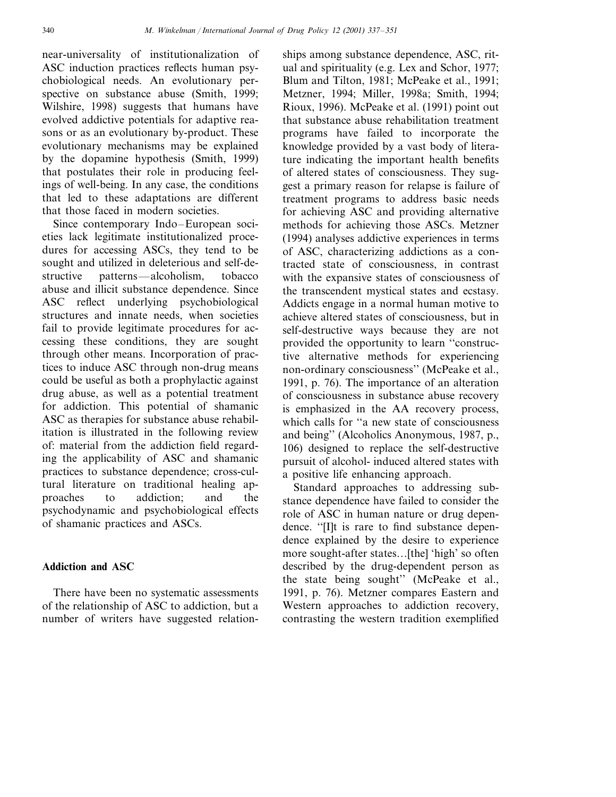near-universality of institutionalization of ASC induction practices reflects human psychobiological needs. An evolutionary perspective on substance abuse (Smith, 1999; Wilshire, 1998) suggests that humans have evolved addictive potentials for adaptive reasons or as an evolutionary by-product. These evolutionary mechanisms may be explained by the dopamine hypothesis (Smith, 1999) that postulates their role in producing feelings of well-being. In any case, the conditions that led to these adaptations are different that those faced in modern societies.

Since contemporary Indo–European societies lack legitimate institutionalized procedures for accessing ASCs, they tend to be sought and utilized in deleterious and self-destructive patterns—alcoholism, tobacco abuse and illicit substance dependence. Since ASC reflect underlying psychobiological structures and innate needs, when societies fail to provide legitimate procedures for accessing these conditions, they are sought through other means. Incorporation of practices to induce ASC through non-drug means could be useful as both a prophylactic against drug abuse, as well as a potential treatment for addiction. This potential of shamanic ASC as therapies for substance abuse rehabilitation is illustrated in the following review of: material from the addiction field regarding the applicability of ASC and shamanic practices to substance dependence; cross-cultural literature on traditional healing approaches to addiction; and the psychodynamic and psychobiological effects of shamanic practices and ASCs.

### **Addiction and ASC**

There have been no systematic assessments of the relationship of ASC to addiction, but a number of writers have suggested relation-

ships among substance dependence, ASC, ritual and spirituality (e.g. Lex and Schor, 1977; Blum and Tilton, 1981; McPeake et al., 1991; Metzner, 1994; Miller, 1998a; Smith, 1994; Rioux, 1996). McPeake et al. (1991) point out that substance abuse rehabilitation treatment programs have failed to incorporate the knowledge provided by a vast body of literature indicating the important health benefits of altered states of consciousness. They suggest a primary reason for relapse is failure of treatment programs to address basic needs for achieving ASC and providing alternative methods for achieving those ASCs. Metzner (1994) analyses addictive experiences in terms of ASC, characterizing addictions as a contracted state of consciousness, in contrast with the expansive states of consciousness of the transcendent mystical states and ecstasy. Addicts engage in a normal human motive to achieve altered states of consciousness, but in self-destructive ways because they are not provided the opportunity to learn ''constructive alternative methods for experiencing non-ordinary consciousness'' (McPeake et al., 1991, p. 76). The importance of an alteration of consciousness in substance abuse recovery is emphasized in the AA recovery process, which calls for "a new state of consciousness and being'' (Alcoholics Anonymous, 1987, p., 106) designed to replace the self-destructive pursuit of alcohol- induced altered states with a positive life enhancing approach.

Standard approaches to addressing substance dependence have failed to consider the role of ASC in human nature or drug dependence. ''[I]t is rare to find substance dependence explained by the desire to experience more sought-after states…[the] 'high' so often described by the drug-dependent person as the state being sought'' (McPeake et al., 1991, p. 76). Metzner compares Eastern and Western approaches to addiction recovery, contrasting the western tradition exemplified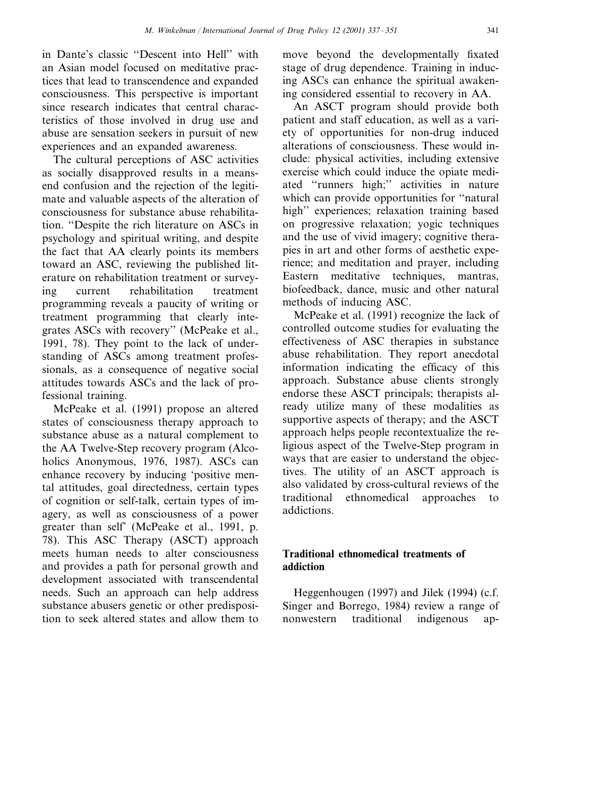in Dante's classic ''Descent into Hell'' with an Asian model focused on meditative practices that lead to transcendence and expanded consciousness. This perspective is important since research indicates that central characteristics of those involved in drug use and abuse are sensation seekers in pursuit of new experiences and an expanded awareness.

The cultural perceptions of ASC activities as socially disapproved results in a meansend confusion and the rejection of the legitimate and valuable aspects of the alteration of consciousness for substance abuse rehabilitation. ''Despite the rich literature on ASCs in psychology and spiritual writing, and despite the fact that AA clearly points its members toward an ASC, reviewing the published literature on rehabilitation treatment or survey-<br>ing current rehabilitation treatment ing current rehabilitation programming reveals a paucity of writing or treatment programming that clearly integrates ASCs with recovery'' (McPeake et al., 1991, 78). They point to the lack of understanding of ASCs among treatment professionals, as a consequence of negative social attitudes towards ASCs and the lack of professional training.

McPeake et al. (1991) propose an altered states of consciousness therapy approach to substance abuse as a natural complement to the AA Twelve-Step recovery program (Alcoholics Anonymous, 1976, 1987). ASCs can enhance recovery by inducing 'positive mental attitudes, goal directedness, certain types of cognition or self-talk, certain types of imagery, as well as consciousness of a power greater than self' (McPeake et al., 1991, p. 78). This ASC Therapy (ASCT) approach meets human needs to alter consciousness and provides a path for personal growth and development associated with transcendental needs. Such an approach can help address substance abusers genetic or other predisposition to seek altered states and allow them to

move beyond the developmentally fixated stage of drug dependence. Training in inducing ASCs can enhance the spiritual awakening considered essential to recovery in AA.

An ASCT program should provide both patient and staff education, as well as a variety of opportunities for non-drug induced alterations of consciousness. These would include: physical activities, including extensive exercise which could induce the opiate mediated ''runners high;'' activities in nature which can provide opportunities for ''natural high'' experiences; relaxation training based on progressive relaxation; yogic techniques and the use of vivid imagery; cognitive therapies in art and other forms of aesthetic experience; and meditation and prayer, including Eastern meditative techniques, mantras, biofeedback, dance, music and other natural methods of inducing ASC.

McPeake et al. (1991) recognize the lack of controlled outcome studies for evaluating the effectiveness of ASC therapies in substance abuse rehabilitation. They report anecdotal information indicating the efficacy of this approach. Substance abuse clients strongly endorse these ASCT principals; therapists already utilize many of these modalities as supportive aspects of therapy; and the ASCT approach helps people recontextualize the religious aspect of the Twelve-Step program in ways that are easier to understand the objectives. The utility of an ASCT approach is also validated by cross-cultural reviews of the traditional ethnomedical approaches to addictions.

# **Traditional ethnomedical treatments of addiction**

Heggenhougen (1997) and Jilek (1994) (c.f. Singer and Borrego, 1984) review a range of<br>nonwestern traditional indigenous apnonwestern traditional indigenous ap-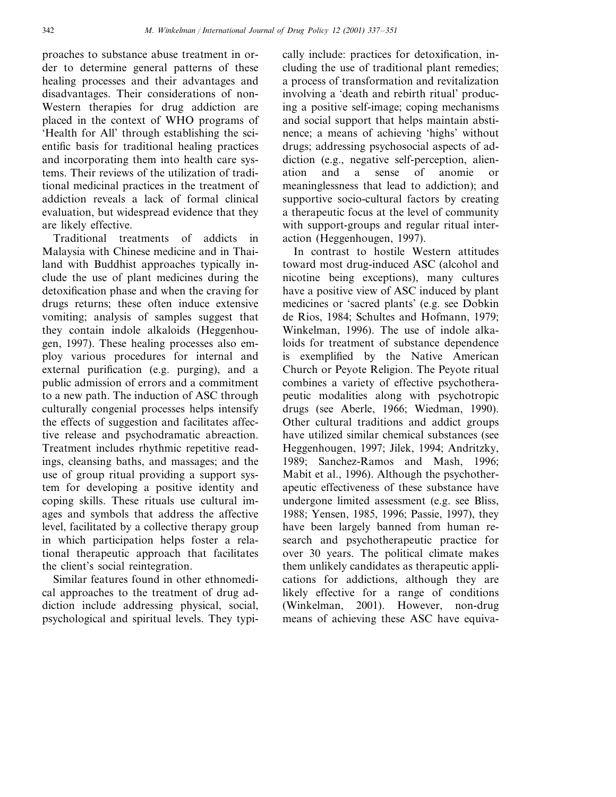proaches to substance abuse treatment in order to determine general patterns of these healing processes and their advantages and disadvantages. Their considerations of non-Western therapies for drug addiction are placed in the context of WHO programs of 'Health for All' through establishing the scientific basis for traditional healing practices and incorporating them into health care systems. Their reviews of the utilization of traditional medicinal practices in the treatment of addiction reveals a lack of formal clinical evaluation, but widespread evidence that they are likely effective.

Traditional treatments of addicts in Malaysia with Chinese medicine and in Thailand with Buddhist approaches typically include the use of plant medicines during the detoxification phase and when the craving for drugs returns; these often induce extensive vomiting; analysis of samples suggest that they contain indole alkaloids (Heggenhougen, 1997). These healing processes also employ various procedures for internal and external purification (e.g. purging), and a public admission of errors and a commitment to a new path. The induction of ASC through culturally congenial processes helps intensify the effects of suggestion and facilitates affective release and psychodramatic abreaction. Treatment includes rhythmic repetitive readings, cleansing baths, and massages; and the use of group ritual providing a support system for developing a positive identity and coping skills. These rituals use cultural images and symbols that address the affective level, facilitated by a collective therapy group in which participation helps foster a relational therapeutic approach that facilitates the client's social reintegration.

Similar features found in other ethnomedical approaches to the treatment of drug addiction include addressing physical, social, psychological and spiritual levels. They typi-

cally include: practices for detoxification, including the use of traditional plant remedies; a process of transformation and revitalization involving a 'death and rebirth ritual' producing a positive self-image; coping mechanisms and social support that helps maintain abstinence; a means of achieving 'highs' without drugs; addressing psychosocial aspects of addiction (e.g., negative self-perception, alienation and a sense of anomie or meaninglessness that lead to addiction); and supportive socio-cultural factors by creating a therapeutic focus at the level of community with support-groups and regular ritual interaction (Heggenhougen, 1997).

In contrast to hostile Western attitudes toward most drug-induced ASC (alcohol and nicotine being exceptions), many cultures have a positive view of ASC induced by plant medicines or 'sacred plants' (e.g. see Dobkin de Rios, 1984; Schultes and Hofmann, 1979; Winkelman, 1996). The use of indole alkaloids for treatment of substance dependence is exemplified by the Native American Church or Peyote Religion. The Peyote ritual combines a variety of effective psychotherapeutic modalities along with psychotropic drugs (see Aberle, 1966; Wiedman, 1990). Other cultural traditions and addict groups have utilized similar chemical substances (see Heggenhougen, 1997; Jilek, 1994; Andritzky, 1989; Sanchez-Ramos and Mash, 1996; Mabit et al., 1996). Although the psychotherapeutic effectiveness of these substance have undergone limited assessment (e.g. see Bliss, 1988; Yensen, 1985, 1996; Passie, 1997), they have been largely banned from human research and psychotherapeutic practice for over 30 years. The political climate makes them unlikely candidates as therapeutic applications for addictions, although they are likely effective for a range of conditions (Winkelman, 2001). However, non-drug means of achieving these ASC have equiva-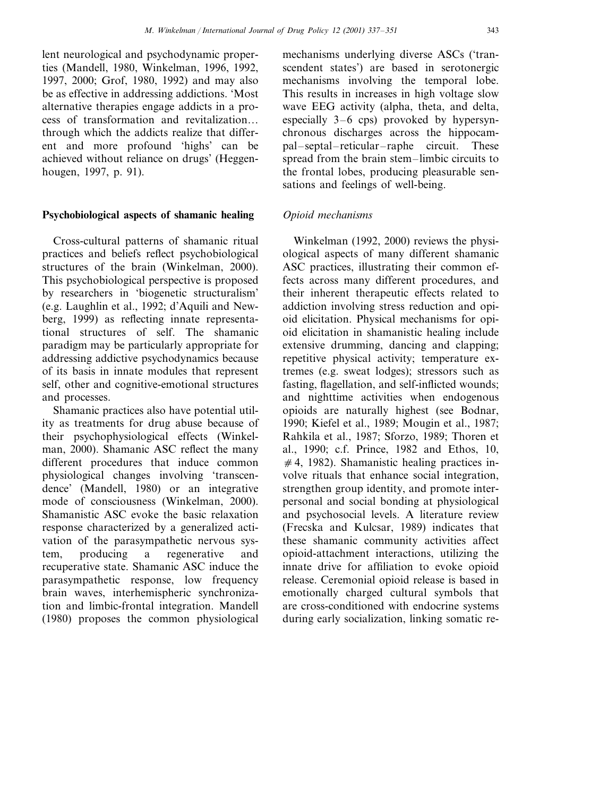lent neurological and psychodynamic properties (Mandell, 1980, Winkelman, 1996, 1992, 1997, 2000; Grof, 1980, 1992) and may also be as effective in addressing addictions. 'Most alternative therapies engage addicts in a process of transformation and revitalization… through which the addicts realize that different and more profound 'highs' can be achieved without reliance on drugs' (Heggenhougen, 1997, p. 91).

#### **Psychobiological aspects of shamanic healing**

Cross-cultural patterns of shamanic ritual practices and beliefs reflect psychobiological structures of the brain (Winkelman, 2000). This psychobiological perspective is proposed by researchers in 'biogenetic structuralism' (e.g. Laughlin et al., 1992; d'Aquili and Newberg, 1999) as reflecting innate representational structures of self. The shamanic paradigm may be particularly appropriate for addressing addictive psychodynamics because of its basis in innate modules that represent self, other and cognitive-emotional structures and processes.

Shamanic practices also have potential utility as treatments for drug abuse because of their psychophysiological effects (Winkelman, 2000). Shamanic ASC reflect the many different procedures that induce common physiological changes involving 'transcendence' (Mandell, 1980) or an integrative mode of consciousness (Winkelman, 2000). Shamanistic ASC evoke the basic relaxation response characterized by a generalized activation of the parasympathetic nervous system, producing a regenerative and recuperative state. Shamanic ASC induce the parasympathetic response, low frequency brain waves, interhemispheric synchronization and limbic-frontal integration. Mandell (1980) proposes the common physiological

mechanisms underlying diverse ASCs ('transcendent states') are based in serotonergic mechanisms involving the temporal lobe. This results in increases in high voltage slow wave EEG activity (alpha, theta, and delta, especially 3–6 cps) provoked by hypersynchronous discharges across the hippocampal–septal–reticular–raphe circuit. These spread from the brain stem–limbic circuits to the frontal lobes, producing pleasurable sensations and feelings of well-being.

# *Opioid mechanisms*

Winkelman (1992, 2000) reviews the physiological aspects of many different shamanic ASC practices, illustrating their common effects across many different procedures, and their inherent therapeutic effects related to addiction involving stress reduction and opioid elicitation. Physical mechanisms for opioid elicitation in shamanistic healing include extensive drumming, dancing and clapping; repetitive physical activity; temperature extremes (e.g. sweat lodges); stressors such as fasting, flagellation, and self-inflicted wounds; and nighttime activities when endogenous opioids are naturally highest (see Bodnar, 1990; Kiefel et al., 1989; Mougin et al., 1987; Rahkila et al., 1987; Sforzo, 1989; Thoren et al., 1990; c.f. Prince, 1982 and Ethos, 10,  $#4$ , 1982). Shamanistic healing practices involve rituals that enhance social integration, strengthen group identity, and promote interpersonal and social bonding at physiological and psychosocial levels. A literature review (Frecska and Kulcsar, 1989) indicates that these shamanic community activities affect opioid-attachment interactions, utilizing the innate drive for affiliation to evoke opioid release. Ceremonial opioid release is based in emotionally charged cultural symbols that are cross-conditioned with endocrine systems during early socialization, linking somatic re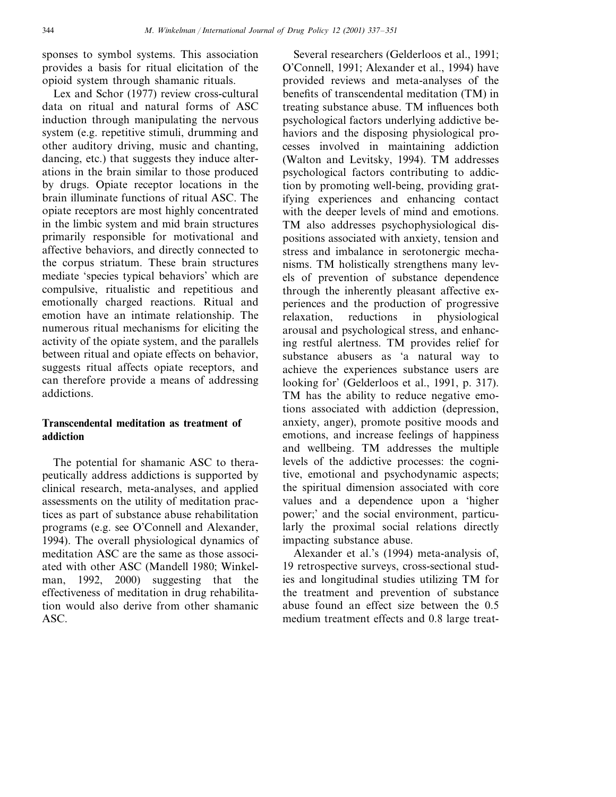sponses to symbol systems. This association provides a basis for ritual elicitation of the opioid system through shamanic rituals.

Lex and Schor (1977) review cross-cultural data on ritual and natural forms of ASC induction through manipulating the nervous system (e.g. repetitive stimuli, drumming and other auditory driving, music and chanting, dancing, etc.) that suggests they induce alterations in the brain similar to those produced by drugs. Opiate receptor locations in the brain illuminate functions of ritual ASC. The opiate receptors are most highly concentrated in the limbic system and mid brain structures primarily responsible for motivational and affective behaviors, and directly connected to the corpus striatum. These brain structures mediate 'species typical behaviors' which are compulsive, ritualistic and repetitious and emotionally charged reactions. Ritual and emotion have an intimate relationship. The numerous ritual mechanisms for eliciting the activity of the opiate system, and the parallels between ritual and opiate effects on behavior, suggests ritual affects opiate receptors, and can therefore provide a means of addressing addictions.

## **Transcendental meditation as treatment of addiction**

The potential for shamanic ASC to therapeutically address addictions is supported by clinical research, meta-analyses, and applied assessments on the utility of meditation practices as part of substance abuse rehabilitation programs (e.g. see O'Connell and Alexander, 1994). The overall physiological dynamics of meditation ASC are the same as those associated with other ASC (Mandell 1980; Winkelman, 1992, 2000) suggesting that the effectiveness of meditation in drug rehabilitation would also derive from other shamanic ASC.

Several researchers (Gelderloos et al., 1991; O'Connell, 1991; Alexander et al., 1994) have provided reviews and meta-analyses of the benefits of transcendental meditation (TM) in treating substance abuse. TM influences both psychological factors underlying addictive behaviors and the disposing physiological processes involved in maintaining addiction (Walton and Levitsky, 1994). TM addresses psychological factors contributing to addiction by promoting well-being, providing gratifying experiences and enhancing contact with the deeper levels of mind and emotions. TM also addresses psychophysiological dispositions associated with anxiety, tension and stress and imbalance in serotonergic mechanisms. TM holistically strengthens many levels of prevention of substance dependence through the inherently pleasant affective experiences and the production of progressive relaxation, reductions in physiological arousal and psychological stress, and enhancing restful alertness. TM provides relief for substance abusers as 'a natural way to achieve the experiences substance users are looking for' (Gelderloos et al., 1991, p. 317). TM has the ability to reduce negative emotions associated with addiction (depression, anxiety, anger), promote positive moods and emotions, and increase feelings of happiness and wellbeing. TM addresses the multiple levels of the addictive processes: the cognitive, emotional and psychodynamic aspects; the spiritual dimension associated with core values and a dependence upon a 'higher power;' and the social environment, particularly the proximal social relations directly impacting substance abuse.

Alexander et al.'s (1994) meta-analysis of, 19 retrospective surveys, cross-sectional studies and longitudinal studies utilizing TM for the treatment and prevention of substance abuse found an effect size between the 0.5 medium treatment effects and 0.8 large treat-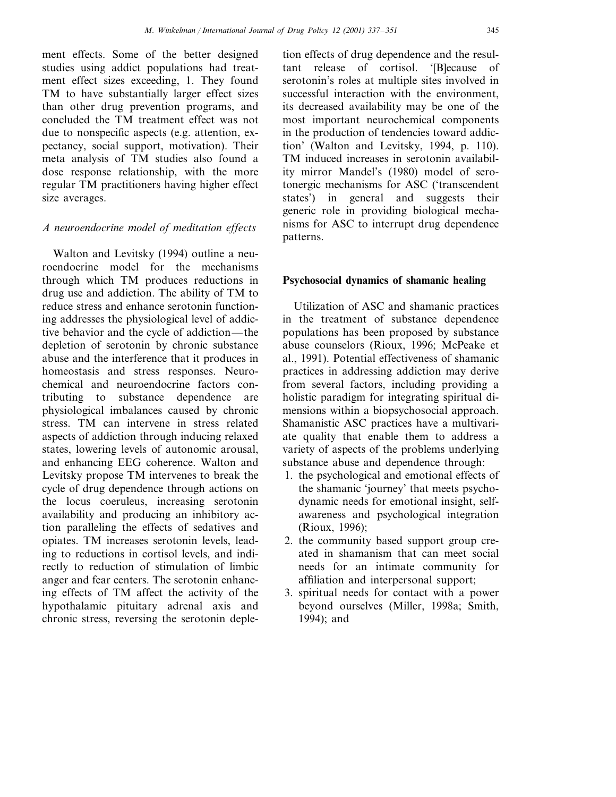ment effects. Some of the better designed studies using addict populations had treatment effect sizes exceeding, 1. They found TM to have substantially larger effect sizes than other drug prevention programs, and concluded the TM treatment effect was not due to nonspecific aspects (e.g. attention, expectancy, social support, motivation). Their meta analysis of TM studies also found a dose response relationship, with the more regular TM practitioners having higher effect size averages.

#### *A neuroendocrine model of meditation effects*

Walton and Levitsky (1994) outline a neuroendocrine model for the mechanisms through which TM produces reductions in drug use and addiction. The ability of TM to reduce stress and enhance serotonin functioning addresses the physiological level of addictive behavior and the cycle of addiction—the depletion of serotonin by chronic substance abuse and the interference that it produces in homeostasis and stress responses. Neurochemical and neuroendocrine factors contributing to substance dependence are physiological imbalances caused by chronic stress. TM can intervene in stress related aspects of addiction through inducing relaxed states, lowering levels of autonomic arousal, and enhancing EEG coherence. Walton and Levitsky propose TM intervenes to break the cycle of drug dependence through actions on the locus coeruleus, increasing serotonin availability and producing an inhibitory action paralleling the effects of sedatives and opiates. TM increases serotonin levels, leading to reductions in cortisol levels, and indirectly to reduction of stimulation of limbic anger and fear centers. The serotonin enhancing effects of TM affect the activity of the hypothalamic pituitary adrenal axis and chronic stress, reversing the serotonin deple-

tion effects of drug dependence and the resultant release of cortisol. '[B]ecause of serotonin's roles at multiple sites involved in successful interaction with the environment, its decreased availability may be one of the most important neurochemical components in the production of tendencies toward addiction' (Walton and Levitsky, 1994, p. 110). TM induced increases in serotonin availability mirror Mandel's (1980) model of serotonergic mechanisms for ASC ('transcendent states') in general and suggests their generic role in providing biological mechanisms for ASC to interrupt drug dependence patterns.

#### **Psychosocial dynamics of shamanic healing**

Utilization of ASC and shamanic practices in the treatment of substance dependence populations has been proposed by substance abuse counselors (Rioux, 1996; McPeake et al., 1991). Potential effectiveness of shamanic practices in addressing addiction may derive from several factors, including providing a holistic paradigm for integrating spiritual dimensions within a biopsychosocial approach. Shamanistic ASC practices have a multivariate quality that enable them to address a variety of aspects of the problems underlying substance abuse and dependence through:

- 1. the psychological and emotional effects of the shamanic 'journey' that meets psychodynamic needs for emotional insight, selfawareness and psychological integration (Rioux, 1996);
- 2. the community based support group created in shamanism that can meet social needs for an intimate community for affiliation and interpersonal support;
- 3. spiritual needs for contact with a power beyond ourselves (Miller, 1998a; Smith, 1994); and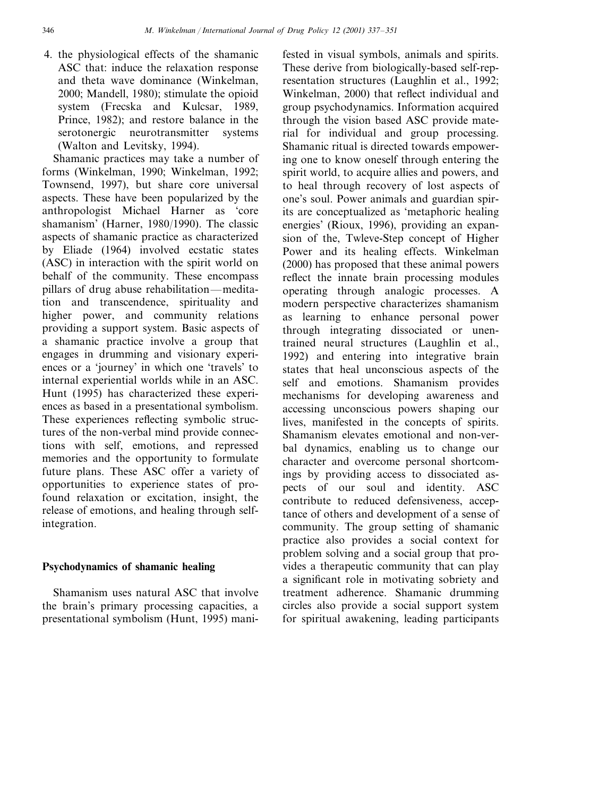4. the physiological effects of the shamanic ASC that: induce the relaxation response and theta wave dominance (Winkelman, 2000; Mandell, 1980); stimulate the opioid system (Frecska and Kulcsar, 1989, Prince, 1982); and restore balance in the serotonergic neurotransmitter systems (Walton and Levitsky, 1994).

Shamanic practices may take a number of forms (Winkelman, 1990; Winkelman, 1992; Townsend, 1997), but share core universal aspects. These have been popularized by the anthropologist Michael Harner as 'core shamanism' (Harner, 1980/1990). The classic aspects of shamanic practice as characterized by Eliade (1964) involved ecstatic states (ASC) in interaction with the spirit world on behalf of the community. These encompass pillars of drug abuse rehabilitation—meditation and transcendence, spirituality and higher power, and community relations providing a support system. Basic aspects of a shamanic practice involve a group that engages in drumming and visionary experiences or a 'journey' in which one 'travels' to internal experiential worlds while in an ASC. Hunt (1995) has characterized these experiences as based in a presentational symbolism. These experiences reflecting symbolic structures of the non-verbal mind provide connections with self, emotions, and repressed memories and the opportunity to formulate future plans. These ASC offer a variety of opportunities to experience states of profound relaxation or excitation, insight, the release of emotions, and healing through selfintegration.

# **Psychodynamics of shamanic healing**

Shamanism uses natural ASC that involve the brain's primary processing capacities, a presentational symbolism (Hunt, 1995) mani-

fested in visual symbols, animals and spirits. These derive from biologically-based self-representation structures (Laughlin et al., 1992; Winkelman, 2000) that reflect individual and group psychodynamics. Information acquired through the vision based ASC provide material for individual and group processing. Shamanic ritual is directed towards empowering one to know oneself through entering the spirit world, to acquire allies and powers, and to heal through recovery of lost aspects of one's soul. Power animals and guardian spirits are conceptualized as 'metaphoric healing energies' (Rioux, 1996), providing an expansion of the, Twleve-Step concept of Higher Power and its healing effects. Winkelman (2000) has proposed that these animal powers reflect the innate brain processing modules operating through analogic processes. A modern perspective characterizes shamanism as learning to enhance personal power through integrating dissociated or unentrained neural structures (Laughlin et al., 1992) and entering into integrative brain states that heal unconscious aspects of the self and emotions. Shamanism provides mechanisms for developing awareness and accessing unconscious powers shaping our lives, manifested in the concepts of spirits. Shamanism elevates emotional and non-verbal dynamics, enabling us to change our character and overcome personal shortcomings by providing access to dissociated aspects of our soul and identity. ASC contribute to reduced defensiveness, acceptance of others and development of a sense of community. The group setting of shamanic practice also provides a social context for problem solving and a social group that provides a therapeutic community that can play a significant role in motivating sobriety and treatment adherence. Shamanic drumming circles also provide a social support system for spiritual awakening, leading participants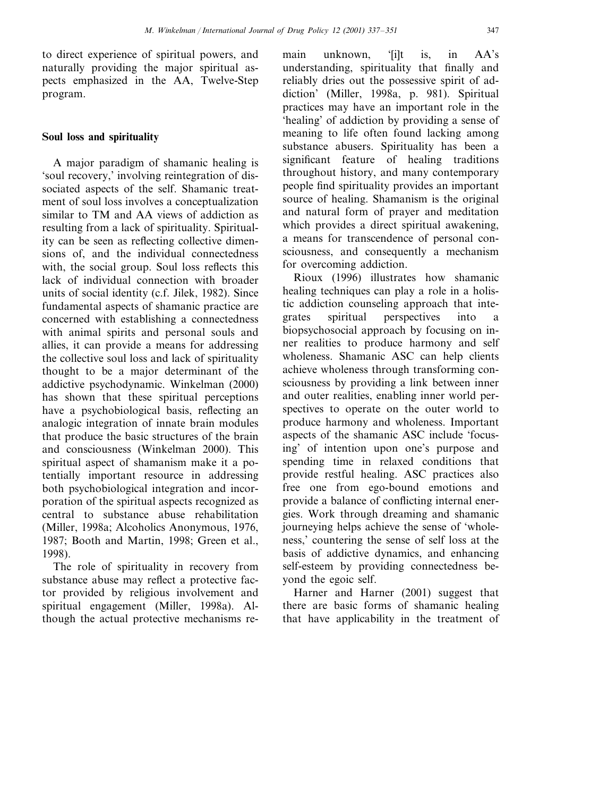to direct experience of spiritual powers, and naturally providing the major spiritual aspects emphasized in the AA, Twelve-Step program.

#### **Soul loss and spirituality**

A major paradigm of shamanic healing is 'soul recovery,' involving reintegration of dissociated aspects of the self. Shamanic treatment of soul loss involves a conceptualization similar to TM and AA views of addiction as resulting from a lack of spirituality. Spirituality can be seen as reflecting collective dimensions of, and the individual connectedness with, the social group. Soul loss reflects this lack of individual connection with broader units of social identity (c.f. Jilek, 1982). Since fundamental aspects of shamanic practice are concerned with establishing a connectedness with animal spirits and personal souls and allies, it can provide a means for addressing the collective soul loss and lack of spirituality thought to be a major determinant of the addictive psychodynamic. Winkelman (2000) has shown that these spiritual perceptions have a psychobiological basis, reflecting an analogic integration of innate brain modules that produce the basic structures of the brain and consciousness (Winkelman 2000). This spiritual aspect of shamanism make it a potentially important resource in addressing both psychobiological integration and incorporation of the spiritual aspects recognized as central to substance abuse rehabilitation (Miller, 1998a; Alcoholics Anonymous, 1976, 1987; Booth and Martin, 1998; Green et al., 1998).

The role of spirituality in recovery from substance abuse may reflect a protective factor provided by religious involvement and spiritual engagement (Miller, 1998a). Although the actual protective mechanisms re-

main unknown, '[i]t is, in AA's understanding, spirituality that finally and reliably dries out the possessive spirit of addiction' (Miller, 1998a, p. 981). Spiritual practices may have an important role in the 'healing' of addiction by providing a sense of meaning to life often found lacking among substance abusers. Spirituality has been a significant feature of healing traditions throughout history, and many contemporary people find spirituality provides an important source of healing. Shamanism is the original and natural form of prayer and meditation which provides a direct spiritual awakening, a means for transcendence of personal consciousness, and consequently a mechanism for overcoming addiction.

Rioux (1996) illustrates how shamanic healing techniques can play a role in a holistic addiction counseling approach that integrates spiritual perspectives into a biopsychosocial approach by focusing on inner realities to produce harmony and self wholeness. Shamanic ASC can help clients achieve wholeness through transforming consciousness by providing a link between inner and outer realities, enabling inner world perspectives to operate on the outer world to produce harmony and wholeness. Important aspects of the shamanic ASC include 'focusing' of intention upon one's purpose and spending time in relaxed conditions that provide restful healing. ASC practices also free one from ego-bound emotions and provide a balance of conflicting internal energies. Work through dreaming and shamanic journeying helps achieve the sense of 'wholeness,' countering the sense of self loss at the basis of addictive dynamics, and enhancing self-esteem by providing connectedness beyond the egoic self.

Harner and Harner (2001) suggest that there are basic forms of shamanic healing that have applicability in the treatment of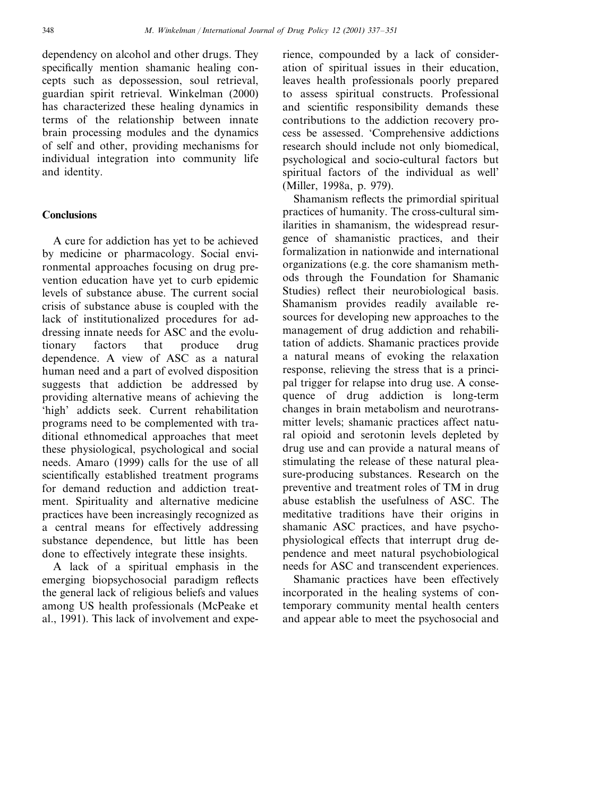dependency on alcohol and other drugs. They specifically mention shamanic healing concepts such as depossession, soul retrieval, guardian spirit retrieval. Winkelman (2000) has characterized these healing dynamics in terms of the relationship between innate brain processing modules and the dynamics of self and other, providing mechanisms for individual integration into community life and identity.

#### **Conclusions**

A cure for addiction has yet to be achieved by medicine or pharmacology. Social environmental approaches focusing on drug prevention education have yet to curb epidemic levels of substance abuse. The current social crisis of substance abuse is coupled with the lack of institutionalized procedures for addressing innate needs for ASC and the evolutionary factors that produce drug dependence. A view of ASC as a natural human need and a part of evolved disposition suggests that addiction be addressed by providing alternative means of achieving the 'high' addicts seek. Current rehabilitation programs need to be complemented with traditional ethnomedical approaches that meet these physiological, psychological and social needs. Amaro (1999) calls for the use of all scientifically established treatment programs for demand reduction and addiction treatment. Spirituality and alternative medicine practices have been increasingly recognized as a central means for effectively addressing substance dependence, but little has been done to effectively integrate these insights.

A lack of a spiritual emphasis in the emerging biopsychosocial paradigm reflects the general lack of religious beliefs and values among US health professionals (McPeake et al., 1991). This lack of involvement and expe-

rience, compounded by a lack of consideration of spiritual issues in their education, leaves health professionals poorly prepared to assess spiritual constructs. Professional and scientific responsibility demands these contributions to the addiction recovery process be assessed. 'Comprehensive addictions research should include not only biomedical, psychological and socio-cultural factors but spiritual factors of the individual as well' (Miller, 1998a, p. 979).

Shamanism reflects the primordial spiritual practices of humanity. The cross-cultural similarities in shamanism, the widespread resurgence of shamanistic practices, and their formalization in nationwide and international organizations (e.g. the core shamanism methods through the Foundation for Shamanic Studies) reflect their neurobiological basis. Shamanism provides readily available resources for developing new approaches to the management of drug addiction and rehabilitation of addicts. Shamanic practices provide a natural means of evoking the relaxation response, relieving the stress that is a principal trigger for relapse into drug use. A consequence of drug addiction is long-term changes in brain metabolism and neurotransmitter levels; shamanic practices affect natural opioid and serotonin levels depleted by drug use and can provide a natural means of stimulating the release of these natural pleasure-producing substances. Research on the preventive and treatment roles of TM in drug abuse establish the usefulness of ASC. The meditative traditions have their origins in shamanic ASC practices, and have psychophysiological effects that interrupt drug dependence and meet natural psychobiological needs for ASC and transcendent experiences.

Shamanic practices have been effectively incorporated in the healing systems of contemporary community mental health centers and appear able to meet the psychosocial and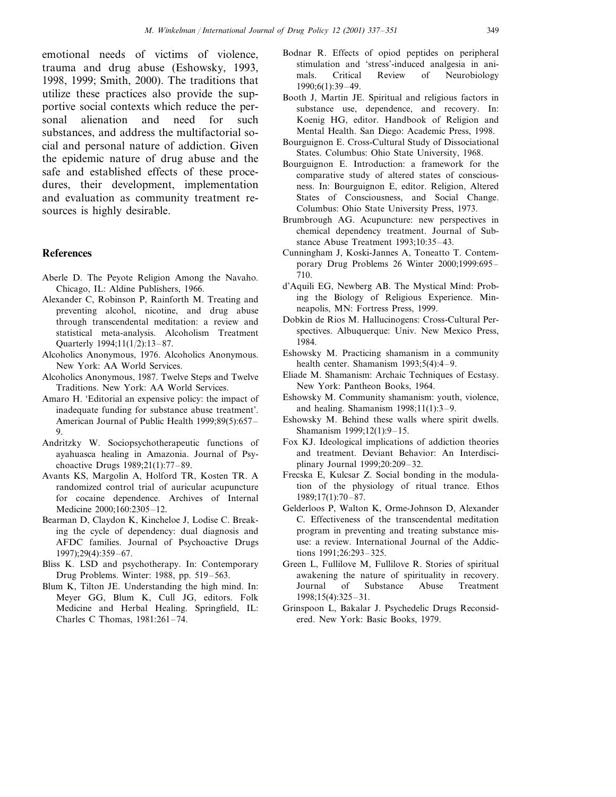emotional needs of victims of violence, trauma and drug abuse (Eshowsky, 1993, 1998, 1999; Smith, 2000). The traditions that utilize these practices also provide the supportive social contexts which reduce the personal alienation and need for such substances, and address the multifactorial social and personal nature of addiction. Given the epidemic nature of drug abuse and the safe and established effects of these procedures, their development, implementation and evaluation as community treatment resources is highly desirable.

#### **References**

- Aberle D. The Peyote Religion Among the Navaho. Chicago, IL: Aldine Publishers, 1966.
- Alexander C, Robinson P, Rainforth M. Treating and preventing alcohol, nicotine, and drug abuse through transcendental meditation: a review and statistical meta-analysis. Alcoholism Treatment Quarterly 1994;11(1/2):13–87.
- Alcoholics Anonymous, 1976. Alcoholics Anonymous. New York: AA World Services.
- Alcoholics Anonymous, 1987. Twelve Steps and Twelve Traditions. New York: AA World Services.
- Amaro H. 'Editorial an expensive policy: the impact of inadequate funding for substance abuse treatment'. American Journal of Public Health 1999;89(5):657– 9.
- Andritzky W. Sociopsychotherapeutic functions of ayahuasca healing in Amazonia. Journal of Psychoactive Drugs 1989;21(1):77–89.
- Avants KS, Margolin A, Holford TR, Kosten TR. A randomized control trial of auricular acupuncture for cocaine dependence. Archives of Internal Medicine 2000;160:2305–12.
- Bearman D, Claydon K, Kincheloe J, Lodise C. Breaking the cycle of dependency: dual diagnosis and AFDC families. Journal of Psychoactive Drugs 1997);29(4):359–67.
- Bliss K. LSD and psychotherapy. In: Contemporary Drug Problems. Winter: 1988, pp. 519–563.
- Blum K, Tilton JE. Understanding the high mind. In: Meyer GG, Blum K, Cull JG, editors. Folk Medicine and Herbal Healing. Springfield, IL: Charles C Thomas, 1981:261–74.
- Bodnar R. Effects of opiod peptides on peripheral stimulation and 'stress'-induced analgesia in animals. Critical Review of Neurobiology 1990;6(1):39–49.
- Booth J, Martin JE. Spiritual and religious factors in substance use, dependence, and recovery. In: Koenig HG, editor. Handbook of Religion and Mental Health. San Diego: Academic Press, 1998.
- Bourguignon E. Cross-Cultural Study of Dissociational States. Columbus: Ohio State University, 1968.
- Bourguignon E. Introduction: a framework for the comparative study of altered states of consciousness. In: Bourguignon E, editor. Religion, Altered States of Consciousness, and Social Change. Columbus: Ohio State University Press, 1973.
- Brumbrough AG. Acupuncture: new perspectives in chemical dependency treatment. Journal of Substance Abuse Treatment 1993;10:35–43.
- Cunningham J, Koski-Jannes A, Toneatto T. Contemporary Drug Problems 26 Winter 2000;1999:695– 710.
- d'Aquili EG, Newberg AB. The Mystical Mind: Probing the Biology of Religious Experience. Minneapolis, MN: Fortress Press, 1999.
- Dobkin de Rios M. Hallucinogens: Cross-Cultural Perspectives. Albuquerque: Univ. New Mexico Press, 1984.
- Eshowsky M. Practicing shamanism in a community health center. Shamanism 1993;5(4):4–9.
- Eliade M. Shamanism: Archaic Techniques of Ecstasy. New York: Pantheon Books, 1964.
- Eshowsky M. Community shamanism: youth, violence, and healing. Shamanism 1998;11(1):3–9.
- Eshowsky M. Behind these walls where spirit dwells. Shamanism 1999;12(1):9–15.
- Fox KJ. Ideological implications of addiction theories and treatment. Deviant Behavior: An Interdisciplinary Journal 1999;20:209–32.
- Frecska E, Kulcsar Z. Social bonding in the modulation of the physiology of ritual trance. Ethos 1989;17(1):70–87.
- Gelderloos P, Walton K, Orme-Johnson D, Alexander C. Effectiveness of the transcendental meditation program in preventing and treating substance misuse: a review. International Journal of the Addictions 1991;26:293–325.
- Green L, Fullilove M, Fullilove R. Stories of spiritual awakening the nature of spirituality in recovery. Journal of Substance Abuse Treatment 1998;15(4):325–31.
- Grinspoon L, Bakalar J. Psychedelic Drugs Reconsidered. New York: Basic Books, 1979.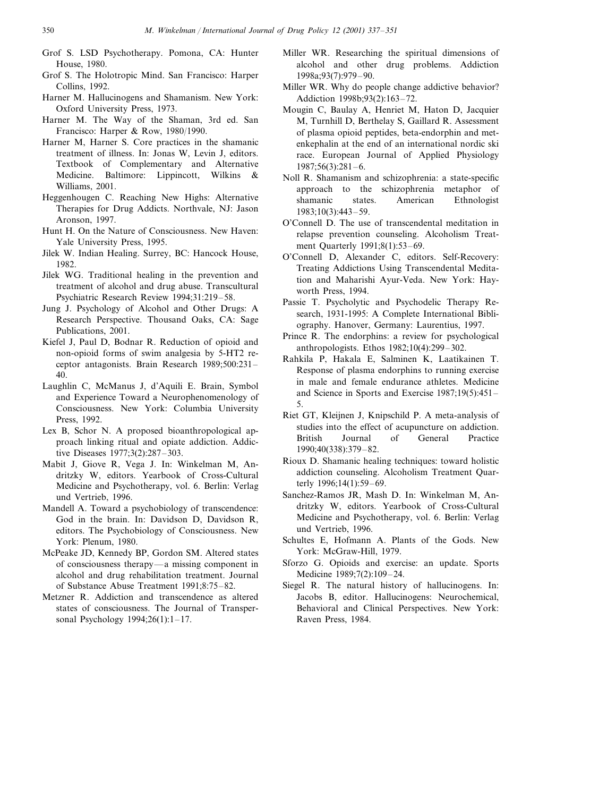- Grof S. LSD Psychotherapy. Pomona, CA: Hunter House, 1980.
- Grof S. The Holotropic Mind. San Francisco: Harper Collins, 1992.
- Harner M. Hallucinogens and Shamanism. New York: Oxford University Press, 1973.
- Harner M. The Way of the Shaman, 3rd ed. San Francisco: Harper & Row, 1980/1990.
- Harner M, Harner S. Core practices in the shamanic treatment of illness. In: Jonas W, Levin J, editors. Textbook of Complementary and Alternative Medicine. Baltimore: Lippincott, Wilkins & Williams, 2001.
- Heggenhougen C. Reaching New Highs: Alternative Therapies for Drug Addicts. Northvale, NJ: Jason Aronson, 1997.
- Hunt H. On the Nature of Consciousness. New Haven: Yale University Press, 1995.
- Jilek W. Indian Healing. Surrey, BC: Hancock House, 1982.
- Jilek WG. Traditional healing in the prevention and treatment of alcohol and drug abuse. Transcultural Psychiatric Research Review 1994;31:219–58.
- Jung J. Psychology of Alcohol and Other Drugs: A Research Perspective. Thousand Oaks, CA: Sage Publications, 2001.
- Kiefel J, Paul D, Bodnar R. Reduction of opioid and non-opioid forms of swim analgesia by 5-HT2 receptor antagonists. Brain Research 1989;500:231– 40.
- Laughlin C, McManus J, d'Aquili E. Brain, Symbol and Experience Toward a Neurophenomenology of Consciousness. New York: Columbia University Press, 1992.
- Lex B, Schor N. A proposed bioanthropological approach linking ritual and opiate addiction. Addictive Diseases 1977;3(2):287–303.
- Mabit J, Giove R, Vega J. In: Winkelman M, Andritzky W, editors. Yearbook of Cross-Cultural Medicine and Psychotherapy, vol. 6. Berlin: Verlag und Vertrieb, 1996.
- Mandell A. Toward a psychobiology of transcendence: God in the brain. In: Davidson D, Davidson R, editors. The Psychobiology of Consciousness. New York: Plenum, 1980.
- McPeake JD, Kennedy BP, Gordon SM. Altered states of consciousness therapy—a missing component in alcohol and drug rehabilitation treatment. Journal of Substance Abuse Treatment 1991;8:75–82.
- Metzner R. Addiction and transcendence as altered states of consciousness. The Journal of Transpersonal Psychology 1994;26(1):1–17.
- Miller WR. Researching the spiritual dimensions of alcohol and other drug problems. Addiction 1998a;93(7):979–90.
- Miller WR. Why do people change addictive behavior? Addiction 1998b;93(2):163–72.
- Mougin C, Baulay A, Henriet M, Haton D, Jacquier M, Turnhill D, Berthelay S, Gaillard R. Assessment of plasma opioid peptides, beta-endorphin and metenkephalin at the end of an international nordic ski race. European Journal of Applied Physiology 1987;56(3):281–6.
- Noll R. Shamanism and schizophrenia: a state-specific approach to the schizophrenia metaphor of shamanic states. American Ethnologist 1983;10(3):443–59.
- O'Connell D. The use of transcendental meditation in relapse prevention counseling. Alcoholism Treatment Quarterly 1991;8(1):53–69.
- O'Connell D, Alexander C, editors. Self-Recovery: Treating Addictions Using Transcendental Meditation and Maharishi Ayur-Veda. New York: Hayworth Press, 1994.
- Passie T. Psycholytic and Psychodelic Therapy Research, 1931-1995: A Complete International Bibliography. Hanover, Germany: Laurentius, 1997.
- Prince R. The endorphins: a review for psychological anthropologists. Ethos 1982;10(4):299–302.
- Rahkila P, Hakala E, Salminen K, Laatikainen T. Response of plasma endorphins to running exercise in male and female endurance athletes. Medicine and Science in Sports and Exercise 1987;19(5):451– 5.
- Riet GT, Kleijnen J, Knipschild P. A meta-analysis of studies into the effect of acupuncture on addiction. British Journal of General Practice 1990;40(338):379–82.
- Rioux D. Shamanic healing techniques: toward holistic addiction counseling. Alcoholism Treatment Quarterly 1996;14(1):59–69.
- Sanchez-Ramos JR, Mash D. In: Winkelman M, Andritzky W, editors. Yearbook of Cross-Cultural Medicine and Psychotherapy, vol. 6. Berlin: Verlag und Vertrieb, 1996.
- Schultes E, Hofmann A. Plants of the Gods. New York: McGraw-Hill, 1979.
- Sforzo G. Opioids and exercise: an update. Sports Medicine 1989;7(2):109–24.
- Siegel R. The natural history of hallucinogens. In: Jacobs B, editor. Hallucinogens: Neurochemical, Behavioral and Clinical Perspectives. New York: Raven Press, 1984.